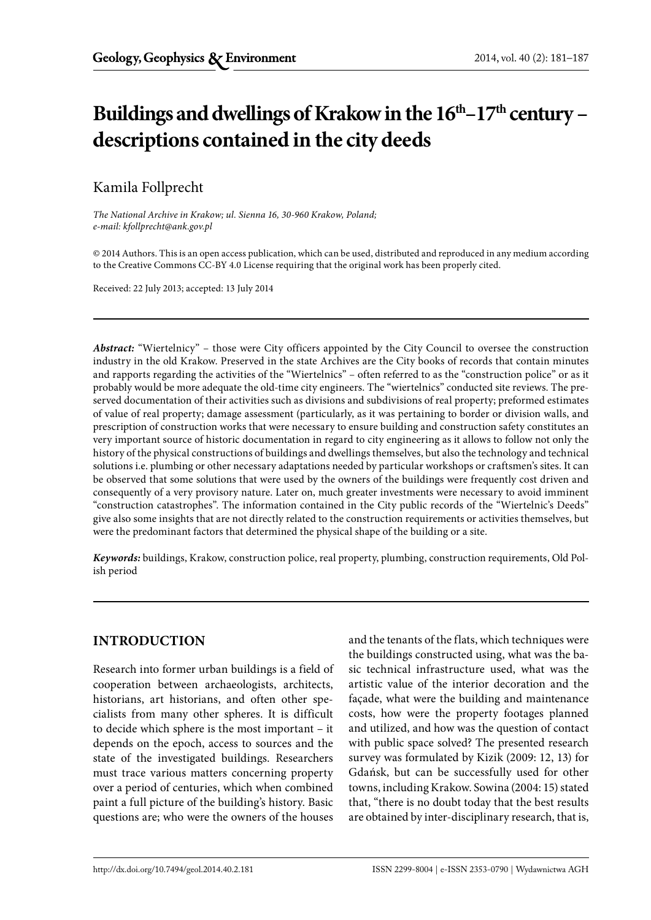# Buildings and dwellings of Krakow in the  $16<sup>th</sup>-17<sup>th</sup>$  century – **descriptions contained in the city deeds**

# Kamila Follprecht

*The National Archive in Krakow; ul. Sienna 16, 30-960 Krakow, Poland; e-mail: kfollprecht@ank.gov.pl*

© 2014 Authors. This is an open access publication, which can be used, distributed and reproduced in any medium according to the Creative Commons CC-BY 4.0 License requiring that the original work has been properly cited.

Received: 22 July 2013; accepted: 13 July 2014

*Abstract:* "Wiertelnicy" – those were City officers appointed by the City Council to oversee the construction industry in the old Krakow. Preserved in the state Archives are the City books of records that contain minutes and rapports regarding the activities of the "Wiertelnics" – often referred to as the "construction police" or as it probably would be more adequate the old-time city engineers. The "wiertelnics" conducted site reviews. The preserved documentation of their activities such as divisions and subdivisions of real property; preformed estimates of value of real property; damage assessment (particularly, as it was pertaining to border or division walls, and prescription of construction works that were necessary to ensure building and construction safety constitutes an very important source of historic documentation in regard to city engineering as it allows to follow not only the history of the physical constructions of buildings and dwellings themselves, but also the technology and technical solutions i.e. plumbing or other necessary adaptations needed by particular workshops or craftsmen's sites. It can be observed that some solutions that were used by the owners of the buildings were frequently cost driven and consequently of a very provisory nature. Later on, much greater investments were necessary to avoid imminent "construction catastrophes". The information contained in the City public records of the "Wiertelnic's Deeds" give also some insights that are not directly related to the construction requirements or activities themselves, but were the predominant factors that determined the physical shape of the building or a site.

*Keywords:* buildings, Krakow, construction police, real property, plumbing, construction requirements, Old Polish period

### **INTRODUCTION**

Research into former urban buildings is a field of cooperation between archaeologists, architects, historians, art historians, and often other specialists from many other spheres. It is difficult to decide which sphere is the most important – it depends on the epoch, access to sources and the state of the investigated buildings. Researchers must trace various matters concerning property over a period of centuries, which when combined paint a full picture of the building's history. Basic questions are; who were the owners of the houses

and the tenants of the flats, which techniques were the buildings constructed using, what was the basic technical infrastructure used, what was the artistic value of the interior decoration and the façade, what were the building and maintenance costs, how were the property footages planned and utilized, and how was the question of contact with public space solved? The presented research survey was formulated by Kizik (2009: 12, 13) for Gdańsk, but can be successfully used for other towns, including Krakow. Sowina (2004: 15) stated that, "there is no doubt today that the best results are obtained by inter-disciplinary research, that is,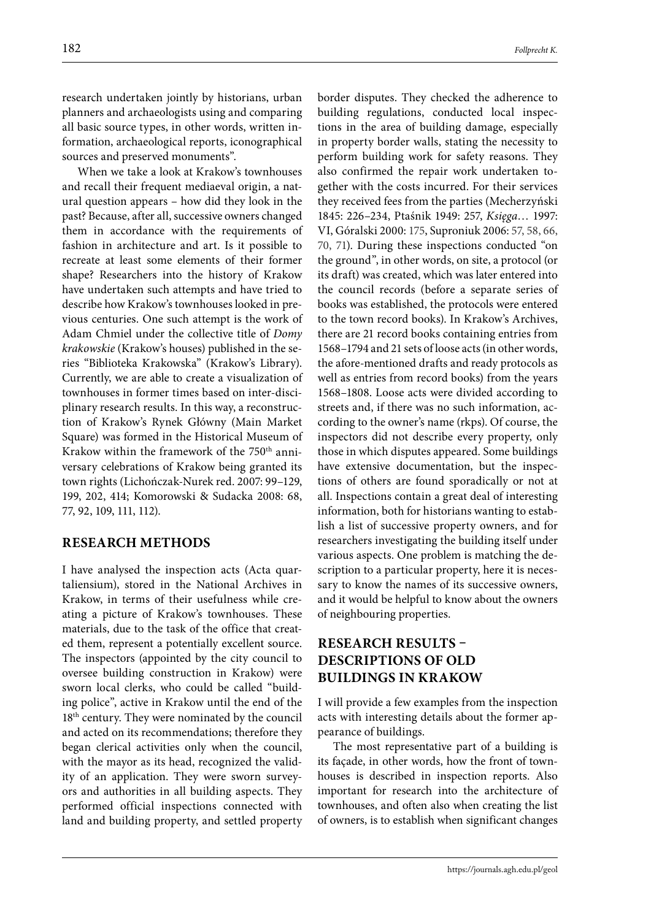research undertaken jointly by historians, urban planners and archaeologists using and comparing all basic source types, in other words, written information, archaeological reports, iconographical sources and preserved monuments".

When we take a look at Krakow's townhouses and recall their frequent mediaeval origin, a natural question appears – how did they look in the past? Because, after all, successive owners changed them in accordance with the requirements of fashion in architecture and art. Is it possible to recreate at least some elements of their former shape? Researchers into the history of Krakow have undertaken such attempts and have tried to describe how Krakow's townhouses looked in previous centuries. One such attempt is the work of Adam Chmiel under the collective title of *Domy krakowskie* (Krakow's houses) published in the series "Biblioteka Krakowska" (Krakow's Library). Currently, we are able to create a visualization of townhouses in former times based on inter-disciplinary research results. In this way, a reconstruction of Krakow's Rynek Główny (Main Market Square) was formed in the Historical Museum of Krakow within the framework of the 750<sup>th</sup> anniversary celebrations of Krakow being granted its town rights (Lichończak-Nurek red. 2007: 99–129, 199, 202, 414; Komorowski & Sudacka 2008: 68, 77, 92, 109, 111, 112).

#### **RESEARCH METHODS**

I have analysed the inspection acts (Acta quartaliensium), stored in the National Archives in Krakow, in terms of their usefulness while creating a picture of Krakow's townhouses. These materials, due to the task of the office that created them, represent a potentially excellent source. The inspectors (appointed by the city council to oversee building construction in Krakow) were sworn local clerks, who could be called "building police", active in Krakow until the end of the 18<sup>th</sup> century. They were nominated by the council and acted on its recommendations; therefore they began clerical activities only when the council, with the mayor as its head, recognized the validity of an application. They were sworn surveyors and authorities in all building aspects. They performed official inspections connected with land and building property, and settled property border disputes. They checked the adherence to building regulations, conducted local inspections in the area of building damage, especially in property border walls, stating the necessity to perform building work for safety reasons. They also confirmed the repair work undertaken together with the costs incurred. For their services they received fees from the parties (Mecherzyński 1845: 226–234, Ptaśnik 1949: 257, *Księga*… 1997: VI, Góralski 2000: 175, Suproniuk 2006: 57, 58, 66, 70, 71). During these inspections conducted "on the ground", in other words, on site, a protocol (or its draft) was created, which was later entered into the council records (before a separate series of books was established, the protocols were entered to the town record books). In Krakow's Archives, there are 21 record books containing entries from 1568–1794 and 21 sets of loose acts (in other words, the afore-mentioned drafts and ready protocols as well as entries from record books) from the years 1568–1808. Loose acts were divided according to streets and, if there was no such information, according to the owner's name (rkps). Of course, the inspectors did not describe every property, only those in which disputes appeared. Some buildings have extensive documentation, but the inspections of others are found sporadically or not at all. Inspections contain a great deal of interesting information, both for historians wanting to establish a list of successive property owners, and for researchers investigating the building itself under various aspects. One problem is matching the description to a particular property, here it is necessary to know the names of its successive owners, and it would be helpful to know about the owners of neighbouring properties.

## **RESEARCH RESULTS – DESCRIPTIONS OF OLD BUILDINGS IN KRAKOW**

I will provide a few examples from the inspection acts with interesting details about the former appearance of buildings.

The most representative part of a building is its façade, in other words, how the front of townhouses is described in inspection reports. Also important for research into the architecture of townhouses, and often also when creating the list of owners, is to establish when significant changes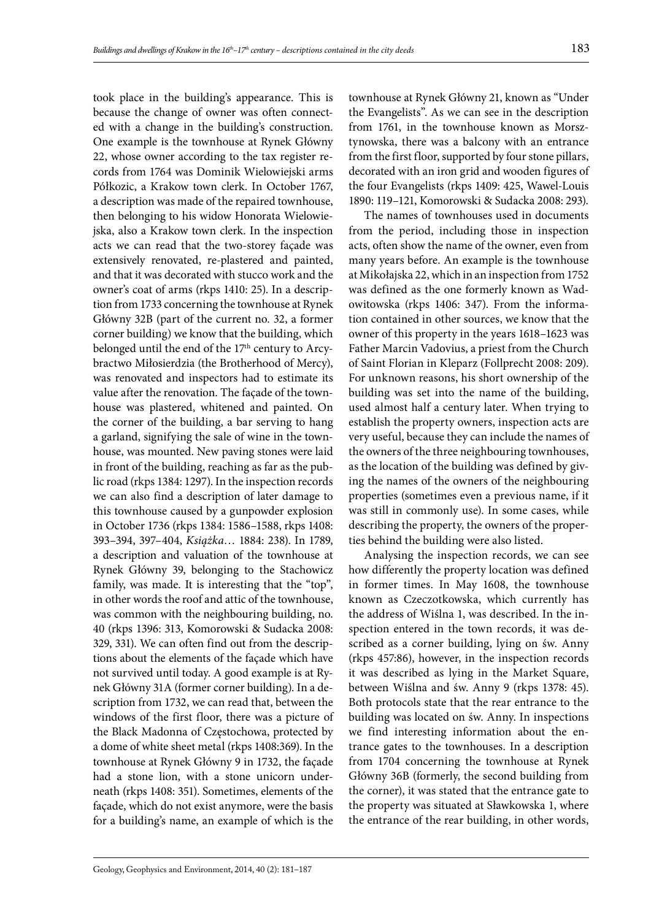took place in the building's appearance. This is because the change of owner was often connected with a change in the building's construction. One example is the townhouse at Rynek Główny 22, whose owner according to the tax register records from 1764 was Dominik Wielowiejski arms Półkozic, a Krakow town clerk. In October 1767, a description was made of the repaired townhouse, then belonging to his widow Honorata Wielowiejska, also a Krakow town clerk. In the inspection acts we can read that the two-storey façade was extensively renovated, re-plastered and painted, and that it was decorated with stucco work and the owner's coat of arms (rkps 1410: 25). In a description from 1733 concerning the townhouse at Rynek Główny 32B (part of the current no. 32, a former corner building) we know that the building, which belonged until the end of the 17<sup>th</sup> century to Arcybractwo Miłosierdzia (the Brotherhood of Mercy), was renovated and inspectors had to estimate its value after the renovation. The façade of the townhouse was plastered, whitened and painted. On the corner of the building, a bar serving to hang a garland, signifying the sale of wine in the townhouse, was mounted. New paving stones were laid in front of the building, reaching as far as the public road (rkps 1384: 1297). In the inspection records we can also find a description of later damage to this townhouse caused by a gunpowder explosion in October 1736 (rkps 1384: 1586–1588, rkps 1408: 393–394, 397–404, *Książka*… 1884: 238). In 1789, a description and valuation of the townhouse at Rynek Główny 39, belonging to the Stachowicz family, was made. It is interesting that the "top", in other words the roof and attic of the townhouse, was common with the neighbouring building, no. 40 (rkps 1396: 313, Komorowski & Sudacka 2008: 329, 331). We can often find out from the descriptions about the elements of the façade which have not survived until today. A good example is at Rynek Główny 31A (former corner building). In a description from 1732, we can read that, between the windows of the first floor, there was a picture of the Black Madonna of Częstochowa, protected by a dome of white sheet metal (rkps 1408:369). In the townhouse at Rynek Główny 9 in 1732, the façade had a stone lion, with a stone unicorn underneath (rkps 1408: 351). Sometimes, elements of the façade, which do not exist anymore, were the basis for a building's name, an example of which is the

townhouse at Rynek Główny 21, known as "Under the Evangelists". As we can see in the description from 1761, in the townhouse known as Morsztynowska, there was a balcony with an entrance from the first floor, supported by four stone pillars, decorated with an iron grid and wooden figures of the four Evangelists (rkps 1409: 425, Wawel-Louis 1890: 119–121, Komorowski & Sudacka 2008: 293).

The names of townhouses used in documents from the period, including those in inspection acts, often show the name of the owner, even from many years before. An example is the townhouse at Mikołajska 22, which in an inspection from 1752 was defined as the one formerly known as Wadowitowska (rkps 1406: 347). From the information contained in other sources, we know that the owner of this property in the years 1618–1623 was Father Marcin Vadovius, a priest from the Church of Saint Florian in Kleparz (Follprecht 2008: 209). For unknown reasons, his short ownership of the building was set into the name of the building, used almost half a century later. When trying to establish the property owners, inspection acts are very useful, because they can include the names of the owners of the three neighbouring townhouses, as the location of the building was defined by giving the names of the owners of the neighbouring properties (sometimes even a previous name, if it was still in commonly use). In some cases, while describing the property, the owners of the properties behind the building were also listed.

Analysing the inspection records, we can see how differently the property location was defined in former times. In May 1608, the townhouse known as Czeczotkowska, which currently has the address of Wiślna 1, was described. In the inspection entered in the town records, it was described as a corner building, lying on św. Anny (rkps 457:86), however, in the inspection records it was described as lying in the Market Square, between Wiślna and św. Anny 9 (rkps 1378: 45). Both protocols state that the rear entrance to the building was located on św. Anny. In inspections we find interesting information about the entrance gates to the townhouses. In a description from 1704 concerning the townhouse at Rynek Główny 36B (formerly, the second building from the corner), it was stated that the entrance gate to the property was situated at Sławkowska 1, where the entrance of the rear building, in other words,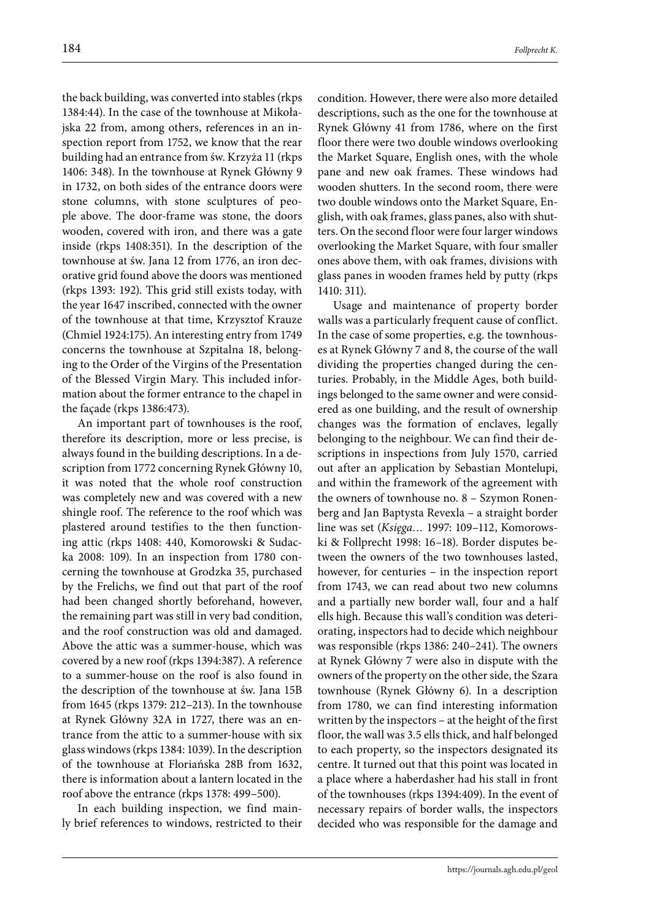the back building, was converted into stables (rkps 1384:44). In the case of the townhouse at Mikołajska 22 from, among others, references in an inspection report from 1752, we know that the rear building had an entrance from św. Krzyża 11 (rkps 1406: 348). In the townhouse at Rynek Główny 9 in 1732, on both sides of the entrance doors were stone columns, with stone sculptures of people above. The door-frame was stone, the doors wooden, covered with iron, and there was a gate inside (rkps 1408:351). In the description of the townhouse at św. Jana 12 from 1776, an iron decorative grid found above the doors was mentioned (rkps 1393: 192). This grid still exists today, with the year 1647 inscribed, connected with the owner of the townhouse at that time, Krzysztof Krauze (Chmiel 1924:175). An interesting entry from 1749 concerns the townhouse at Szpitalna 18, belonging to the Order of the Virgins of the Presentation of the Blessed Virgin Mary. This included information about the former entrance to the chapel in the façade (rkps 1386:473).

An important part of townhouses is the roof, therefore its description, more or less precise, is always found in the building descriptions. In a description from 1772 concerning Rynek Główny 10, it was noted that the whole roof construction was completely new and was covered with a new shingle roof. The reference to the roof which was plastered around testifies to the then functioning attic (rkps 1408: 440, Komorowski & Sudacka 2008: 109). In an inspection from 1780 concerning the townhouse at Grodzka 35, purchased by the Frelichs, we find out that part of the roof had been changed shortly beforehand, however, the remaining part was still in very bad condition, and the roof construction was old and damaged. Above the attic was a summer-house, which was covered by a new roof (rkps 1394:387). A reference to a summer-house on the roof is also found in the description of the townhouse at św. Jana 15B from 1645 (rkps 1379: 212–213). In the townhouse at Rynek Główny 32A in 1727, there was an entrance from the attic to a summer-house with six glass windows (rkps 1384: 1039). In the description of the townhouse at Floriańska 28B from 1632, there is information about a lantern located in the roof above the entrance (rkps 1378: 499–500).

In each building inspection, we find mainly brief references to windows, restricted to their condition. However, there were also more detailed descriptions, such as the one for the townhouse at Rynek Główny 41 from 1786, where on the first floor there were two double windows overlooking the Market Square, English ones, with the whole pane and new oak frames. These windows had wooden shutters. In the second room, there were two double windows onto the Market Square, English, with oak frames, glass panes, also with shutters. On the second floor were four larger windows overlooking the Market Square, with four smaller ones above them, with oak frames, divisions with glass panes in wooden frames held by putty (rkps 1410: 311).

Usage and maintenance of property border walls was a particularly frequent cause of conflict. In the case of some properties, e.g. the townhouses at Rynek Główny 7 and 8, the course of the wall dividing the properties changed during the centuries. Probably, in the Middle Ages, both buildings belonged to the same owner and were considered as one building, and the result of ownership changes was the formation of enclaves, legally belonging to the neighbour. We can find their descriptions in inspections from July 1570, carried out after an application by Sebastian Montelupi, and within the framework of the agreement with the owners of townhouse no. 8 – Szymon Ronenberg and Jan Baptysta Revexla – a straight border line was set (*Księga…* 1997: 109–112, Komorowski & Follprecht 1998: 16–18). Border disputes between the owners of the two townhouses lasted, however, for centuries – in the inspection report from 1743, we can read about two new columns and a partially new border wall, four and a half ells high. Because this wall's condition was deteriorating, inspectors had to decide which neighbour was responsible (rkps 1386: 240–241). The owners at Rynek Główny 7 were also in dispute with the owners of the property on the other side, the Szara townhouse (Rynek Główny 6). In a description from 1780, we can find interesting information written by the inspectors – at the height of the first floor, the wall was 3.5 ells thick, and half belonged to each property, so the inspectors designated its centre. It turned out that this point was located in a place where a haberdasher had his stall in front of the townhouses (rkps 1394:409). In the event of necessary repairs of border walls, the inspectors decided who was responsible for the damage and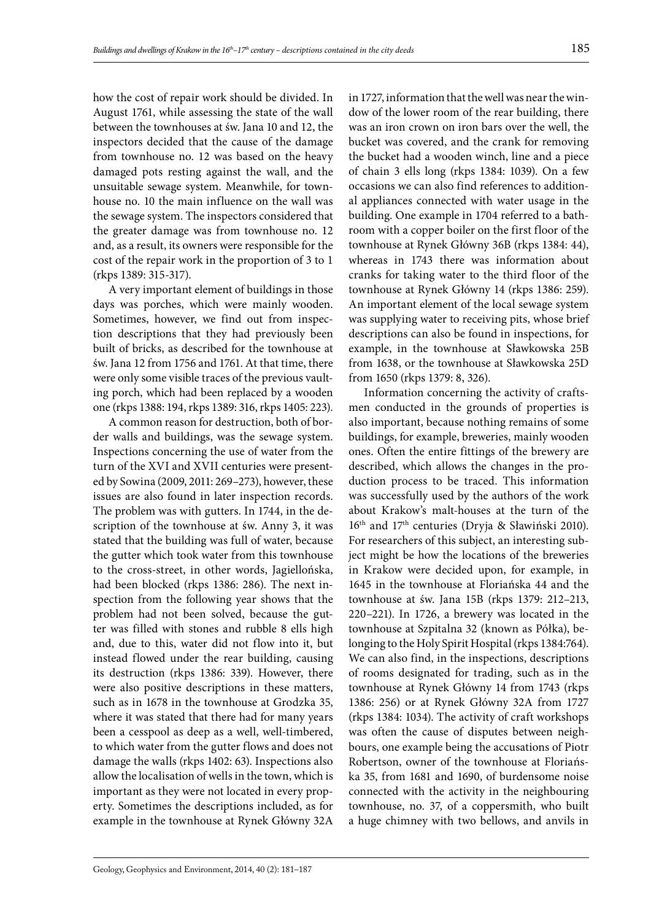how the cost of repair work should be divided. In August 1761, while assessing the state of the wall between the townhouses at św. Jana 10 and 12, the inspectors decided that the cause of the damage from townhouse no. 12 was based on the heavy damaged pots resting against the wall, and the unsuitable sewage system. Meanwhile, for townhouse no. 10 the main influence on the wall was the sewage system. The inspectors considered that the greater damage was from townhouse no. 12 and, as a result, its owners were responsible for the cost of the repair work in the proportion of 3 to 1 (rkps 1389: 315-317).

A very important element of buildings in those days was porches, which were mainly wooden. Sometimes, however, we find out from inspection descriptions that they had previously been built of bricks, as described for the townhouse at św. Jana 12 from 1756 and 1761. At that time, there were only some visible traces of the previous vaulting porch, which had been replaced by a wooden one (rkps 1388: 194, rkps 1389: 316, rkps 1405: 223).

A common reason for destruction, both of border walls and buildings, was the sewage system. Inspections concerning the use of water from the turn of the XVI and XVII centuries were presented by Sowina (2009, 2011: 269–273), however, these issues are also found in later inspection records. The problem was with gutters. In 1744, in the description of the townhouse at św. Anny 3, it was stated that the building was full of water, because the gutter which took water from this townhouse to the cross-street, in other words, Jagiellońska, had been blocked (rkps 1386: 286). The next inspection from the following year shows that the problem had not been solved, because the gutter was filled with stones and rubble 8 ells high and, due to this, water did not flow into it, but instead flowed under the rear building, causing its destruction (rkps 1386: 339). However, there were also positive descriptions in these matters, such as in 1678 in the townhouse at Grodzka 35, where it was stated that there had for many years been a cesspool as deep as a well, well-timbered, to which water from the gutter flows and does not damage the walls (rkps 1402: 63). Inspections also allow the localisation of wells in the town, which is important as they were not located in every property. Sometimes the descriptions included, as for example in the townhouse at Rynek Główny 32A

in 1727, information that the well was near the window of the lower room of the rear building, there was an iron crown on iron bars over the well, the bucket was covered, and the crank for removing the bucket had a wooden winch, line and a piece of chain 3 ells long (rkps 1384: 1039). On a few occasions we can also find references to additional appliances connected with water usage in the building. One example in 1704 referred to a bathroom with a copper boiler on the first floor of the townhouse at Rynek Główny 36B (rkps 1384: 44), whereas in 1743 there was information about cranks for taking water to the third floor of the townhouse at Rynek Główny 14 (rkps 1386: 259). An important element of the local sewage system was supplying water to receiving pits, whose brief descriptions can also be found in inspections, for example, in the townhouse at Sławkowska 25B from 1638, or the townhouse at Sławkowska 25D from 1650 (rkps 1379: 8, 326).

Information concerning the activity of craftsmen conducted in the grounds of properties is also important, because nothing remains of some buildings, for example, breweries, mainly wooden ones. Often the entire fittings of the brewery are described, which allows the changes in the production process to be traced. This information was successfully used by the authors of the work about Krakow's malt-houses at the turn of the 16<sup>th</sup> and 17<sup>th</sup> centuries (Dryja & Sławiński 2010). For researchers of this subject, an interesting subject might be how the locations of the breweries in Krakow were decided upon, for example, in 1645 in the townhouse at Floriańska 44 and the townhouse at św. Jana 15B (rkps 1379: 212–213, 220–221). In 1726, a brewery was located in the townhouse at Szpitalna 32 (known as Półka), belonging to the Holy Spirit Hospital (rkps 1384:764). We can also find, in the inspections, descriptions of rooms designated for trading, such as in the townhouse at Rynek Główny 14 from 1743 (rkps 1386: 256) or at Rynek Główny 32A from 1727 (rkps 1384: 1034). The activity of craft workshops was often the cause of disputes between neighbours, one example being the accusations of Piotr Robertson, owner of the townhouse at Floriańska 35, from 1681 and 1690, of burdensome noise connected with the activity in the neighbouring townhouse, no. 37, of a coppersmith, who built a huge chimney with two bellows, and anvils in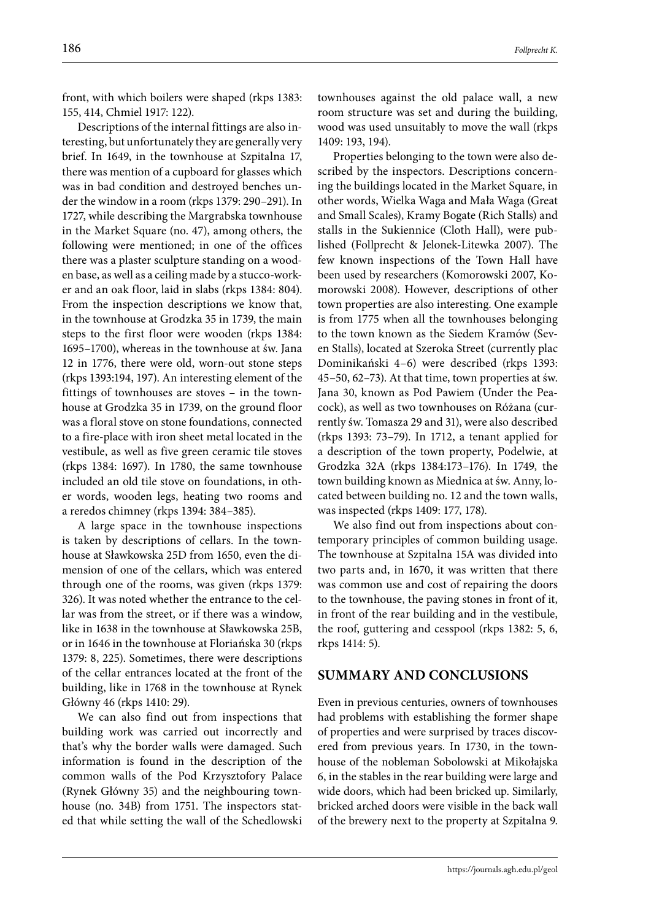front, with which boilers were shaped (rkps 1383: 155, 414, Chmiel 1917: 122).

Descriptions of the internal fittings are also interesting, but unfortunately they are generally very brief. In 1649, in the townhouse at Szpitalna 17, there was mention of a cupboard for glasses which was in bad condition and destroyed benches under the window in a room (rkps 1379: 290–291). In 1727, while describing the Margrabska townhouse in the Market Square (no. 47), among others, the following were mentioned; in one of the offices there was a plaster sculpture standing on a wooden base, as well as a ceiling made by a stucco-worker and an oak floor, laid in slabs (rkps 1384: 804). From the inspection descriptions we know that, in the townhouse at Grodzka 35 in 1739, the main steps to the first floor were wooden (rkps 1384: 1695–1700), whereas in the townhouse at św. Jana 12 in 1776, there were old, worn-out stone steps (rkps 1393:194, 197). An interesting element of the fittings of townhouses are stoves – in the townhouse at Grodzka 35 in 1739, on the ground floor was a floral stove on stone foundations, connected to a fire-place with iron sheet metal located in the vestibule, as well as five green ceramic tile stoves (rkps 1384: 1697). In 1780, the same townhouse included an old tile stove on foundations, in other words, wooden legs, heating two rooms and a reredos chimney (rkps 1394: 384–385).

A large space in the townhouse inspections is taken by descriptions of cellars. In the townhouse at Sławkowska 25D from 1650, even the dimension of one of the cellars, which was entered through one of the rooms, was given (rkps 1379: 326). It was noted whether the entrance to the cellar was from the street, or if there was a window, like in 1638 in the townhouse at Sławkowska 25B, or in 1646 in the townhouse at Floriańska 30 (rkps 1379: 8, 225). Sometimes, there were descriptions of the cellar entrances located at the front of the building, like in 1768 in the townhouse at Rynek Główny 46 (rkps 1410: 29).

We can also find out from inspections that building work was carried out incorrectly and that's why the border walls were damaged. Such information is found in the description of the common walls of the Pod Krzysztofory Palace (Rynek Główny 35) and the neighbouring townhouse (no. 34B) from 1751. The inspectors stated that while setting the wall of the Schedlowski

townhouses against the old palace wall, a new room structure was set and during the building, wood was used unsuitably to move the wall (rkps

1409: 193, 194). Properties belonging to the town were also described by the inspectors. Descriptions concerning the buildings located in the Market Square, in other words, Wielka Waga and Mała Waga (Great and Small Scales), Kramy Bogate (Rich Stalls) and stalls in the Sukiennice (Cloth Hall), were published (Follprecht & Jelonek-Litewka 2007). The few known inspections of the Town Hall have been used by researchers (Komorowski 2007, Komorowski 2008). However, descriptions of other town properties are also interesting. One example is from 1775 when all the townhouses belonging to the town known as the Siedem Kramów (Seven Stalls), located at Szeroka Street (currently plac Dominikański 4–6) were described (rkps 1393: 45–50, 62–73). At that time, town properties at św. Jana 30, known as Pod Pawiem (Under the Peacock), as well as two townhouses on Różana (currently św. Tomasza 29 and 31), were also described (rkps 1393: 73–79). In 1712, a tenant applied for a description of the town property, Podelwie, at Grodzka 32A (rkps 1384:173–176). In 1749, the town building known as Miednica at św. Anny, located between building no. 12 and the town walls, was inspected (rkps 1409: 177, 178).

We also find out from inspections about contemporary principles of common building usage. The townhouse at Szpitalna 15A was divided into two parts and, in 1670, it was written that there was common use and cost of repairing the doors to the townhouse, the paving stones in front of it, in front of the rear building and in the vestibule, the roof, guttering and cesspool (rkps 1382: 5, 6, rkps 1414: 5).

#### **SUMMARY AND CONCLUSIONS**

Even in previous centuries, owners of townhouses had problems with establishing the former shape of properties and were surprised by traces discovered from previous years. In 1730, in the townhouse of the nobleman Sobolowski at Mikołajska 6, in the stables in the rear building were large and wide doors, which had been bricked up. Similarly, bricked arched doors were visible in the back wall of the brewery next to the property at Szpitalna 9.